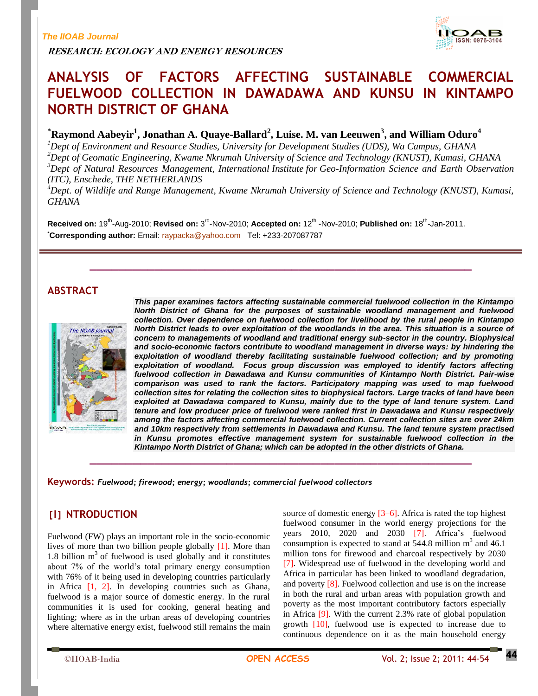**RESEARCH: ECOLOGY AND ENERGY RESOURCES**



# **ANALYSIS OF FACTORS AFFECTING SUSTAINABLE COMMERCIAL FUELWOOD COLLECTION IN DAWADAWA AND KUNSU IN KINTAMPO NORTH DISTRICT OF GHANA**

**\*Raymond Aabeyir<sup>1</sup> , Jonathan A. Quaye-Ballard<sup>2</sup> , Luise. M. van Leeuwen<sup>3</sup> , and William Oduro<sup>4</sup>**

*Dept of Environment and Resource Studies, University for Development Studies (UDS), Wa Campus, GHANA Dept of Geomatic Engineering, Kwame Nkrumah University of Science and Technology (KNUST), Kumasi, GHANA Dept of Natural Resources Management, International Institute for Geo-Information Science and Earth Observation (ITC), Enschede, THE NETHERLANDS*

*<sup>4</sup>Dept. of Wildlife and Range Management, Kwame Nkrumah University of Science and Technology (KNUST), Kumasi, GHANA*

**\_\_\_\_\_\_\_\_\_\_\_\_\_\_\_\_\_\_\_\_\_\_\_\_\_\_\_\_\_\_\_\_\_\_\_\_\_\_\_\_\_\_\_\_\_\_\_\_\_\_\_\_\_**

**\_\_\_\_\_\_\_\_\_\_\_\_\_\_\_\_\_\_\_\_\_\_\_\_\_\_\_\_\_\_\_\_\_\_\_\_\_\_\_\_\_\_\_\_\_\_\_\_\_\_\_\_\_**

Received on: 19<sup>th</sup>-Aug-2010; Revised on: 3<sup>rd</sup>-Nov-2010; Accepted on: 12<sup>th</sup> -Nov-2010; Published on: 18<sup>th</sup>-Jan-2011. \***Corresponding author:** Email: [raypacka@yahoo.com](mailto:raypacka@yahoo.com) Tel: +233-207087787

# **ABSTRACT**



IOAB

*This paper examines factors affecting sustainable commercial fuelwood collection in the Kintampo North District of Ghana for the purposes of sustainable woodland management and fuelwood collection. Over dependence on fuelwood collection for livelihood by the rural people in Kintampo North District leads to over exploitation of the woodlands in the area. This situation is a source of*  concern to managements of woodland and traditional energy sub-sector in the country. Biophysical *and socio-economic factors contribute to woodland management in diverse ways: by hindering the*  exploitation of woodland thereby facilitating sustainable fuelwood collection; and by promoting *exploitation of woodland. Focus group discussion was employed to identify factors affecting fuelwood collection in Dawadawa and Kunsu communities of Kintampo North District. Pair-wise comparison was used to rank the factors. Participatory mapping was used to map fuelwood collection sites for relating the collection sites to biophysical factors. Large tracks of land have been exploited at Dawadawa compared to Kunsu, mainly due to the type of land tenure system. Land tenure and low producer price of fuelwood were ranked first in Dawadawa and Kunsu respectively among the factors affecting commercial fuelwood collection. Current collection sites are over 24km and 10km respectively from settlements in Dawadawa and Kunsu. The land tenure system practised in Kunsu promotes effective management system for sustainable fuelwood collection in the Kintampo North District of Ghana; which can be adopted in the other districts of Ghana.* 

**Keywords:** *Fuelwood; firewood; energy; woodlands; commercial fuelwood collectors*

# **[I] NTRODUCTION**

Fuelwood (FW) plays an important role in the socio-economic lives of more than two billion people globally [1]. More than 1.8 billion  $m<sup>3</sup>$  of fuelwood is used globally and it constitutes about 7% of the world's total primary energy consumption with 76% of it being used in developing countries particularly in Africa [1, 2]. In developing countries such as Ghana, fuelwood is a major source of domestic energy. In the rural communities it is used for cooking, general heating and lighting; where as in the urban areas of developing countries where alternative energy exist, fuelwood still remains the main source of domestic energy [3–6]. Africa is rated the top highest fuelwood consumer in the world energy projections for the years 2010, 2020 and 2030 [7]. Africa's fuelwood consumption is expected to stand at  $544.8$  million m<sup>3</sup> and  $46.1$ million tons for firewood and charcoal respectively by 2030 [7]. Widespread use of fuelwood in the developing world and Africa in particular has been linked to woodland degradation, and poverty [8]. Fuelwood collection and use is on the increase in both the rural and urban areas with population growth and poverty as the most important contributory factors especially in Africa [9]. With the current 2.3% rate of global population growth [10], fuelwood use is expected to increase due to continuous dependence on it as the main household energy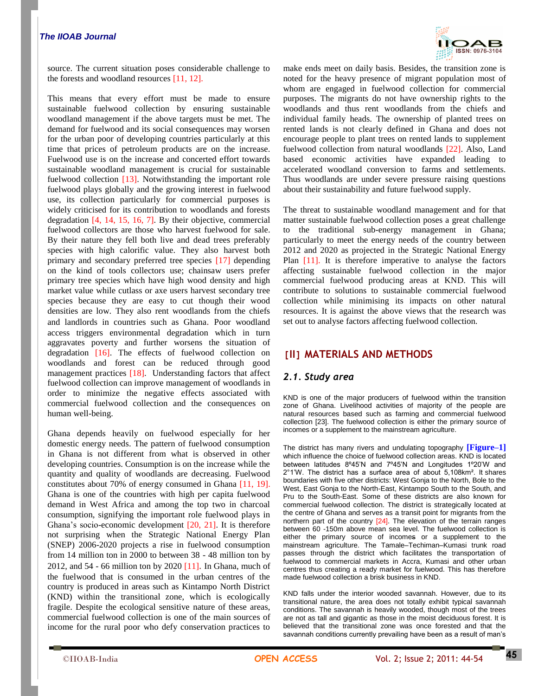

source. The current situation poses considerable challenge to the forests and woodland resources [11, 12].

This means that every effort must be made to ensure sustainable fuelwood collection by ensuring sustainable woodland management if the above targets must be met. The demand for fuelwood and its social consequences may worsen for the urban poor of developing countries particularly at this time that prices of petroleum products are on the increase. Fuelwood use is on the increase and concerted effort towards sustainable woodland management is crucial for sustainable fuelwood collection [13]. Notwithstanding the important role fuelwood plays globally and the growing interest in fuelwood use, its collection particularly for commercial purposes is widely criticised for its contribution to woodlands and forests degradation [4, 14, 15, 16, 7]. By their objective, commercial fuelwood collectors are those who harvest fuelwood for sale. By their nature they fell both live and dead trees preferably species with high calorific value. They also harvest both primary and secondary preferred tree species [17] depending on the kind of tools collectors use; chainsaw users prefer primary tree species which have high wood density and high market value while cutlass or axe users harvest secondary tree species because they are easy to cut though their wood densities are low. They also rent woodlands from the chiefs and landlords in countries such as Ghana. Poor woodland access triggers environmental degradation which in turn aggravates poverty and further worsens the situation of degradation [16]. The effects of fuelwood collection on woodlands and forest can be reduced through good management practices [18]. Understanding factors that affect fuelwood collection can improve management of woodlands in order to minimize the negative effects associated with commercial fuelwood collection and the consequences on human well-being.

Ghana depends heavily on fuelwood especially for her domestic energy needs. The pattern of fuelwood consumption in Ghana is not different from what is observed in other developing countries. Consumption is on the increase while the quantity and quality of woodlands are decreasing. Fuelwood constitutes about 70% of energy consumed in Ghana [11, 19]. Ghana is one of the countries with high per capita fuelwood demand in West Africa and among the top two in charcoal consumption, signifying the important role fuelwood plays in Ghana's socio-economic development [20, 21]. It is therefore not surprising when the Strategic National Energy Plan (SNEP) 2006-2020 projects a rise in fuelwood consumption from 14 million ton in 2000 to between 38 - 48 million ton by 2012, and 54 - 66 million ton by 2020 [11]. In Ghana, much of the fuelwood that is consumed in the urban centres of the country is produced in areas such as Kintampo North District (KND) within the transitional zone, which is ecologically fragile. Despite the ecological sensitive nature of these areas, commercial fuelwood collection is one of the main sources of income for the rural poor who defy conservation practices to

make ends meet on daily basis. Besides, the transition zone is noted for the heavy presence of migrant population most of whom are engaged in fuelwood collection for commercial purposes. The migrants do not have ownership rights to the woodlands and thus rent woodlands from the chiefs and individual family heads. The ownership of planted trees on rented lands is not clearly defined in Ghana and does not encourage people to plant trees on rented lands to supplement fuelwood collection from natural woodlands [22]. Also, Land based economic activities have expanded leading to accelerated woodland conversion to farms and settlements. Thus woodlands are under severe pressure raising questions about their sustainability and future fuelwood supply.

The threat to sustainable woodland management and for that matter sustainable fuelwood collection poses a great challenge to the traditional sub-energy management in Ghana; particularly to meet the energy needs of the country between 2012 and 2020 as projected in the Strategic National Energy Plan [11]. It is therefore imperative to analyse the factors affecting sustainable fuelwood collection in the major commercial fuelwood producing areas at KND. This will contribute to solutions to sustainable commercial fuelwood collection while minimising its impacts on other natural resources. It is against the above views that the research was set out to analyse factors affecting fuelwood collection.

### **[II] MATERIALS AND METHODS**

#### *2.1. Study area*

KND is one of the major producers of fuelwood within the transition zone of Ghana. Livelihood activities of majority of the people are natural resources based such as farming and commercial fuelwood collection [23]. The fuelwood collection is either the primary source of incomes or a supplement to the mainstream agriculture.

The district has many rivers and undulating topography **[Figure–1]** which influence the choice of fuelwood collection areas. KND is located between latitudes 8º45'N and 7º45'N and Longitudes 1º20'W and 2°1'W. The district has a surface area of about 5,108km². It shares boundaries with five other districts: West Gonja to the North, Bole to the West, East Gonja to the North-East, Kintampo South to the South, and Pru to the South-East. Some of these districts are also known for commercial fuelwood collection. The district is strategically located at the centre of Ghana and serves as a transit point for migrants from the northern part of the country [24]. The elevation of the terrain ranges between 60 -150m above mean sea level. The fuelwood collection is either the primary source of incomes or a supplement to the mainstream agriculture. The Tamale–Techiman–Kumasi trunk road passes through the district which facilitates the transportation of fuelwood to commercial markets in Accra, Kumasi and other urban centres thus creating a ready market for fuelwood. This has therefore made fuelwood collection a brisk business in KND.

KND falls under the interior wooded savannah. However, due to its transitional nature, the area does not totally exhibit typical savannah conditions. The savannah is heavily wooded, though most of the trees are not as tall and gigantic as those in the moist deciduous forest. It is believed that the transitional zone was once forested and that the savannah conditions currently prevailing have been as a result of man's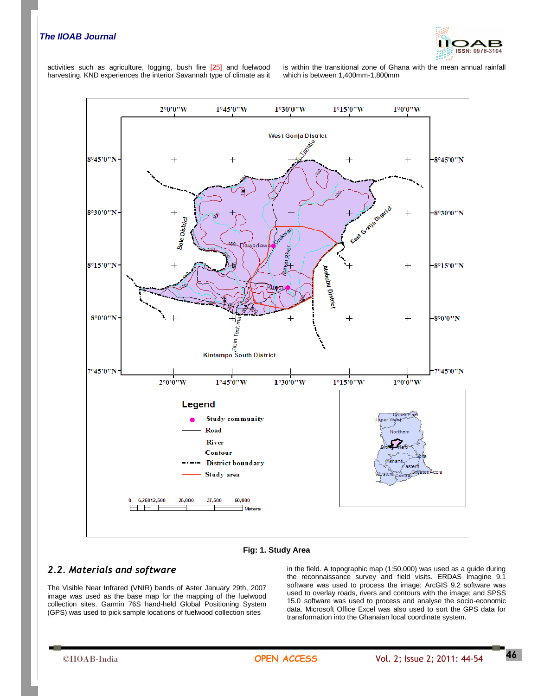

activities such as agriculture, logging, bush fire [25] and fuelwood harvesting. KND experiences the interior Savannah type of climate as it is within the transitional zone of Ghana with the mean annual rainfall which is between 1,400mm-1,800mm



**Fig: 1. Study Area**

### *2.2. Materials and software*

The Visible Near Infrared (VNIR) bands of Aster January 29th, 2007 image was used as the base map for the mapping of the fuelwood collection sites. Garmin 76S hand-held Global Positioning System (GPS) was used to pick sample locations of fuelwood collection sites

in the field. A topographic map (1:50,000) was used as a guide during the reconnaissance survey and field visits. ERDAS Imagine 9.1 software was used to process the image; ArcGIS 9.2 software was used to overlay roads, rivers and contours with the image; and SPSS 15.0 software was used to process and analyse the socio-economic data. Microsoft Office Excel was also used to sort the GPS data for transformation into the Ghanaian local coordinate system.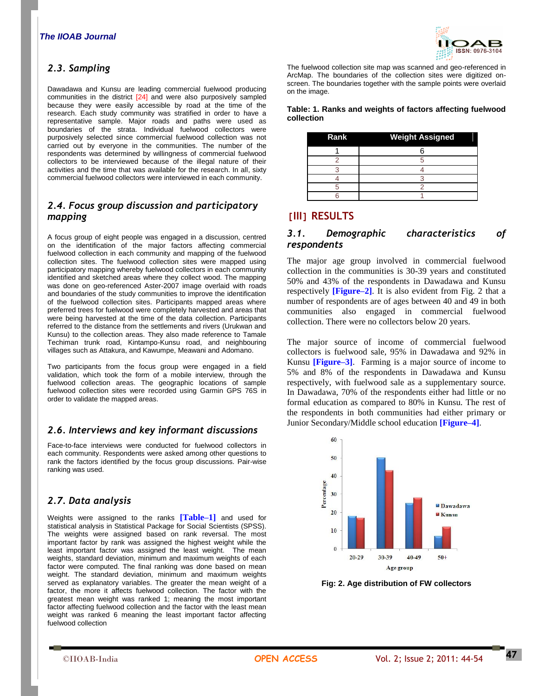# *2.3. Sampling*

Dawadawa and Kunsu are leading commercial fuelwood producing communities in the district [24] and were also purposively sampled because they were easily accessible by road at the time of the research. Each study community was stratified in order to have a representative sample. Major roads and paths were used as boundaries of the strata. Individual fuelwood collectors were purposively selected since commercial fuelwood collection was not carried out by everyone in the communities. The number of the respondents was determined by willingness of commercial fuelwood collectors to be interviewed because of the illegal nature of their activities and the time that was available for the research. In all, sixty commercial fuelwood collectors were interviewed in each community.

### *2.4. Focus group discussion and participatory mapping*

A focus group of eight people was engaged in a discussion, centred on the identification of the major factors affecting commercial fuelwood collection in each community and mapping of the fuelwood collection sites. The fuelwood collection sites were mapped using participatory mapping whereby fuelwood collectors in each community identified and sketched areas where they collect wood. The mapping was done on geo-referenced Aster-2007 image overlaid with roads and boundaries of the study communities to improve the identification of the fuelwood collection sites. Participants mapped areas where preferred trees for fuelwood were completely harvested and areas that were being harvested at the time of the data collection. Participants referred to the distance from the settlements and rivers (Urukwan and Kunsu) to the collection areas. They also made reference to Tamale Techiman trunk road, Kintampo-Kunsu road, and neighbouring villages such as Attakura, and Kawumpe, Meawani and Adomano.

Two participants from the focus group were engaged in a field validation, which took the form of a mobile interview, through the fuelwood collection areas. The geographic locations of sample fuelwood collection sites were recorded using Garmin GPS 76S in order to validate the mapped areas.

### *2.6. Interviews and key informant discussions*

Face-to-face interviews were conducted for fuelwood collectors in each community. Respondents were asked among other questions to rank the factors identified by the focus group discussions. Pair-wise ranking was used.

### *2.7. Data analysis*

Weights were assigned to the ranks **[Table–1]** and used for statistical analysis in Statistical Package for Social Scientists (SPSS). The weights were assigned based on rank reversal. The most important factor by rank was assigned the highest weight while the least important factor was assigned the least weight. The mean weights, standard deviation, minimum and maximum weights of each factor were computed. The final ranking was done based on mean weight. The standard deviation, minimum and maximum weights served as explanatory variables. The greater the mean weight of a factor, the more it affects fuelwood collection. The factor with the greatest mean weight was ranked 1; meaning the most important factor affecting fuelwood collection and the factor with the least mean weight was ranked 6 meaning the least important factor affecting fuelwood collection



The fuelwood collection site map was scanned and geo-referenced in ArcMap. The boundaries of the collection sites were digitized onscreen. The boundaries together with the sample points were overlaid on the image.

#### **Table: 1. Ranks and weights of factors affecting fuelwood collection**

| Rank | <b>Weight Assigned</b> |
|------|------------------------|
|      |                        |
|      |                        |
|      |                        |
|      |                        |
|      |                        |
|      |                        |

# **[III] RESULTS**

### *3.1. Demographic characteristics of respondents*

The major age group involved in commercial fuelwood collection in the communities is 30-39 years and constituted 50% and 43% of the respondents in Dawadawa and Kunsu respectively **[Figure–2]**. It is also evident from Fig. 2 that a number of respondents are of ages between 40 and 49 in both communities also engaged in commercial fuelwood collection. There were no collectors below 20 years.

The major source of income of commercial fuelwood collectors is fuelwood sale, 95% in Dawadawa and 92% in Kunsu **[Figure–3]**. Farming is a major source of income to 5% and 8% of the respondents in Dawadawa and Kunsu respectively, with fuelwood sale as a supplementary source. In Dawadawa, 70% of the respondents either had little or no formal education as compared to 80% in Kunsu. The rest of the respondents in both communities had either primary or Junior Secondary/Middle school education **[Figure–4]**.



**Fig: 2. Age distribution of FW collectors**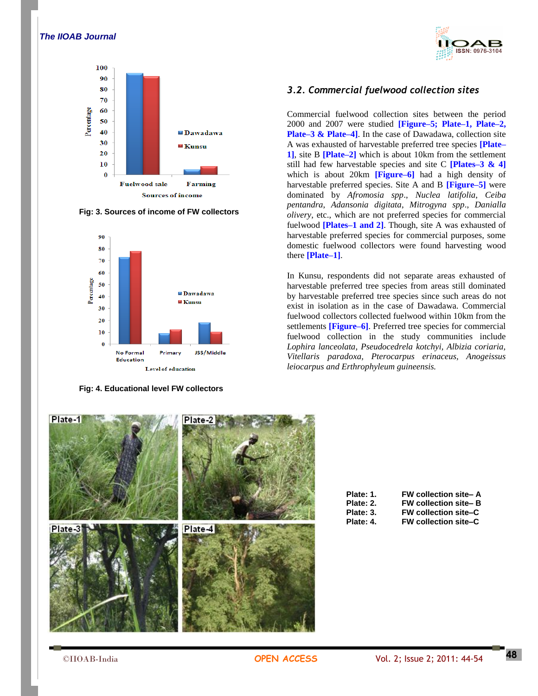

**Fig: 3. Sources of income of FW collectors**



**Fig: 4. Educational level FW collectors**



### *3.2. Commercial fuelwood collection sites*

Commercial fuelwood collection sites between the period 2000 and 2007 were studied **[Figure–5; Plate–1, Plate–2, Plate–3 & Plate–4]**. In the case of Dawadawa, collection site A was exhausted of harvestable preferred tree species **[Plate– 1]**, site B **[Plate–2]** which is about 10km from the settlement still had few harvestable species and site C **[Plates–3 & 4]** which is about 20km **[Figure–6]** had a high density of harvestable preferred species. Site A and B **[Figure–5]** were dominated by *Afromosia spp*., *Nuclea latifolia*, *Ceiba pentandra*, *Adansonia digitata*, *Mitrogyna spp*., *Danialla olivery*, etc., which are not preferred species for commercial fuelwood **[Plates–1 and 2]**. Though, site A was exhausted of harvestable preferred species for commercial purposes, some domestic fuelwood collectors were found harvesting wood there **[Plate–1]**.

In Kunsu, respondents did not separate areas exhausted of harvestable preferred tree species from areas still dominated by harvestable preferred tree species since such areas do not exist in isolation as in the case of Dawadawa. Commercial fuelwood collectors collected fuelwood within 10km from the settlements **[Figure–6]**. Preferred tree species for commercial fuelwood collection in the study communities include *Lophira lanceolata, Pseudocedrela kotchyi, Albizia coriaria, Vitellaris paradoxa, Pterocarpus erinaceus, Anogeissus leiocarpus and Erthrophyleum guineensis.* 



| Plate: 1. | <b>FW collection site-A</b> |
|-----------|-----------------------------|
| Plate: 2. | <b>FW collection site-B</b> |
| Plate: 3. | <b>FW collection site-C</b> |
| Plate: 4. | <b>FW collection site-C</b> |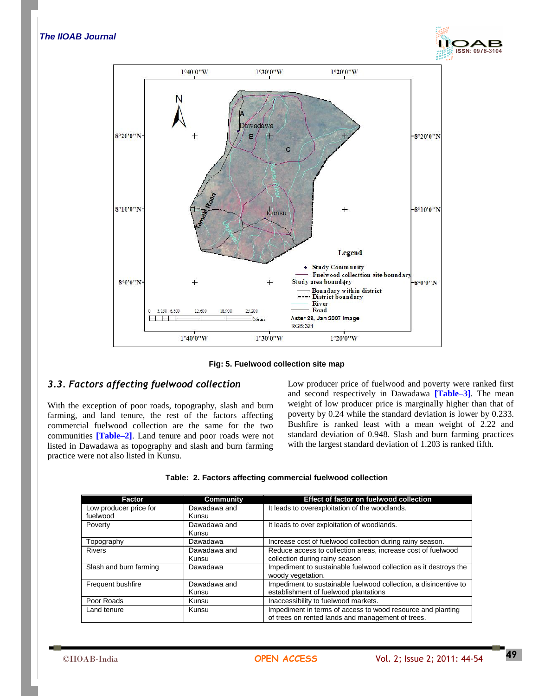



**Fig: 5. Fuelwood collection site map**

# *3.3. Factors affecting fuelwood collection*

With the exception of poor roads, topography, slash and burn farming, and land tenure, the rest of the factors affecting commercial fuelwood collection are the same for the two communities **[Table–2]**. Land tenure and poor roads were not listed in Dawadawa as topography and slash and burn farming practice were not also listed in Kunsu.

Low producer price of fuelwood and poverty were ranked first and second respectively in Dawadawa **[Table–3]**. The mean weight of low producer price is marginally higher than that of poverty by 0.24 while the standard deviation is lower by 0.233. Bushfire is ranked least with a mean weight of 2.22 and standard deviation of 0.948. Slash and burn farming practices with the largest standard deviation of 1.203 is ranked fifth.

|  |  |  | Table: 2. Factors affecting commercial fuelwood collection |  |  |
|--|--|--|------------------------------------------------------------|--|--|
|--|--|--|------------------------------------------------------------|--|--|

| Factor                 | <b>Community</b> | Effect of factor on fuelwood collection                          |
|------------------------|------------------|------------------------------------------------------------------|
| Low producer price for | Dawadawa and     | It leads to overexploitation of the woodlands.                   |
| fuelwood               | Kunsu            |                                                                  |
| Poverty                | Dawadawa and     | It leads to over exploitation of woodlands.                      |
|                        | Kunsu            |                                                                  |
| Topography             | Dawadawa         | Increase cost of fuelwood collection during rainy season.        |
| <b>Rivers</b>          | Dawadawa and     | Reduce access to collection areas, increase cost of fuelwood     |
|                        | Kunsu            | collection during rainy season                                   |
| Slash and burn farming | Dawadawa         | Impediment to sustainable fuelwood collection as it destroys the |
|                        |                  | woody yegetation.                                                |
| Frequent bushfire      | Dawadawa and     | Impediment to sustainable fuelwood collection, a disincentive to |
|                        | Kunsu            | establishment of fuelwood plantations                            |
| Poor Roads             | Kunsu            | Inaccessibility to fuelwood markets.                             |
| Land tenure            | Kunsu            | Impediment in terms of access to wood resource and planting      |
|                        |                  | of trees on rented lands and management of trees.                |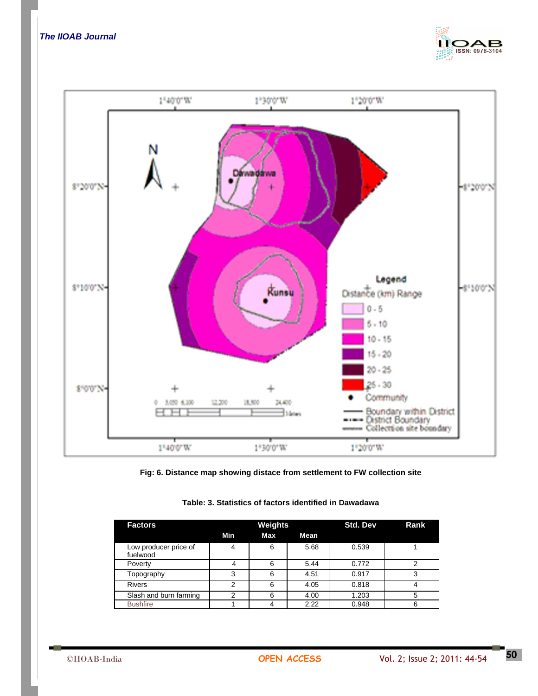





| <b>Factors</b>                    | Weights |     |      | Std. Dev | <b>Rank</b> |
|-----------------------------------|---------|-----|------|----------|-------------|
|                                   | Min     | Max | Mean |          |             |
| Low producer price of<br>fuelwood |         | 6   | 5.68 | 0.539    |             |
| Poverty                           |         | 6   | 5.44 | 0.772    |             |
| Topography                        | 3       | 6   | 4.51 | 0.917    |             |
| <b>Rivers</b>                     |         | 6   | 4.05 | 0.818    |             |
| Slash and burn farming            |         | 6   | 4.00 | 1.203    |             |
| <b>Bushfire</b>                   |         |     | 2.22 | 0.948    |             |

#### **Table: 3. Statistics of factors identified in Dawadawa**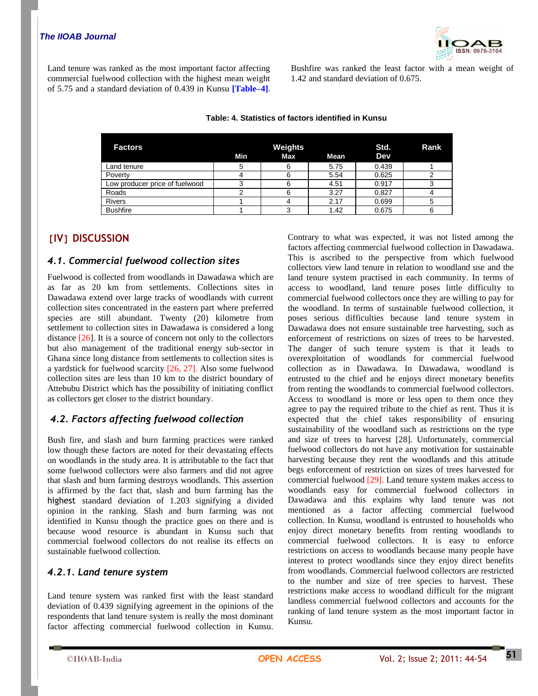

Land tenure was ranked as the most important factor affecting commercial fuelwood collection with the highest mean weight of 5.75 and a standard deviation of 0.439 in Kunsu **[Table–4]**. Bushfire was ranked the least factor with a mean weight of 1.42 and standard deviation of 0.675.

| <b>Factors</b>                 | Min | Weights<br>Max | Std.<br>Dev | Rank  |  |
|--------------------------------|-----|----------------|-------------|-------|--|
| Land tenure                    |     |                | 5.75        | 0.439 |  |
| Poverty                        |     |                | 5.54        | 0.625 |  |
| Low producer price of fuelwood |     |                | 4.51        | 0.917 |  |
| Roads                          |     |                | 3.27        | 0.827 |  |
| <b>Rivers</b>                  |     |                | 2.17        | 0.699 |  |
| <b>Bushfire</b>                |     |                | 1.42        | 0.675 |  |

#### **Table: 4. Statistics of factors identified in Kunsu**

# **[IV] DISCUSSION**

### *4.1. Commercial fuelwood collection sites*

Fuelwood is collected from woodlands in Dawadawa which are as far as 20 km from settlements. Collections sites in Dawadawa extend over large tracks of woodlands with current collection sites concentrated in the eastern part where preferred species are still abundant. Twenty (20) kilometre from settlement to collection sites in Dawadawa is considered a long distance [26]. It is a source of concern not only to the collectors but also management of the traditional energy sub-sector in Ghana since long distance from settlements to collection sites is a yardstick for fuelwood scarcity [26, 27]. Also some fuelwood collection sites are less than 10 km to the district boundary of Attebubu District which has the possibility of initiating conflict as collectors get closer to the district boundary.

### *4.2. Factors affecting fuelwood collection*

Bush fire, and slash and burn farming practices were ranked low though these factors are noted for their devastating effects on woodlands in the study area. It is attributable to the fact that some fuelwood collectors were also farmers and did not agree that slash and burn farming destroys woodlands. This assertion is affirmed by the fact that, slash and burn farming has the highest standard deviation of 1.203 signifying a divided opinion in the ranking. Slash and burn farming was not identified in Kunsu though the practice goes on there and is because wood resource is abundant in Kunsu such that commercial fuelwood collectors do not realise its effects on sustainable fuelwood collection.

### *4.2.1. Land tenure system*

Land tenure system was ranked first with the least standard deviation of 0.439 signifying agreement in the opinions of the respondents that land tenure system is really the most dominant factor affecting commercial fuelwood collection in Kunsu.

Contrary to what was expected, it was not listed among the factors affecting commercial fuelwood collection in Dawadawa. This is ascribed to the perspective from which fuelwood collectors view land tenure in relation to woodland use and the land tenure system practised in each community. In terms of access to woodland, land tenure poses little difficulty to commercial fuelwood collectors once they are willing to pay for the woodland. In terms of sustainable fuelwood collection, it poses serious difficulties because land tenure system in Dawadawa does not ensure sustainable tree harvesting, such as enforcement of restrictions on sizes of trees to be harvested. The danger of such tenure system is that it leads to overexploitation of woodlands for commercial fuelwood collection as in Dawadawa. In Dawadawa, woodland is entrusted to the chief and he enjoys direct monetary benefits from renting the woodlands to commercial fuelwood collectors. Access to woodland is more or less open to them once they agree to pay the required tribute to the chief as rent. Thus it is expected that the chief takes responsibility of ensuring sustainability of the woodland such as restrictions on the type and size of trees to harvest [28]. Unfortunately, commercial fuelwood collectors do not have any motivation for sustainable harvesting because they rent the woodlands and this attitude begs enforcement of restriction on sizes of trees harvested for commercial fuelwood [29]. Land tenure system makes access to woodlands easy for commercial fuelwood collectors in Dawadawa and this explains why land tenure was not mentioned as a factor affecting commercial fuelwood collection. In Kunsu, woodland is entrusted to households who enjoy direct monetary benefits from renting woodlands to commercial fuelwood collectors. It is easy to enforce restrictions on access to woodlands because many people have interest to protect woodlands since they enjoy direct benefits from woodlands. Commercial fuelwood collectors are restricted to the number and size of tree species to harvest. These restrictions make access to woodland difficult for the migrant landless commercial fuelwood collectors and accounts for the ranking of land tenure system as the most important factor in Kunsu.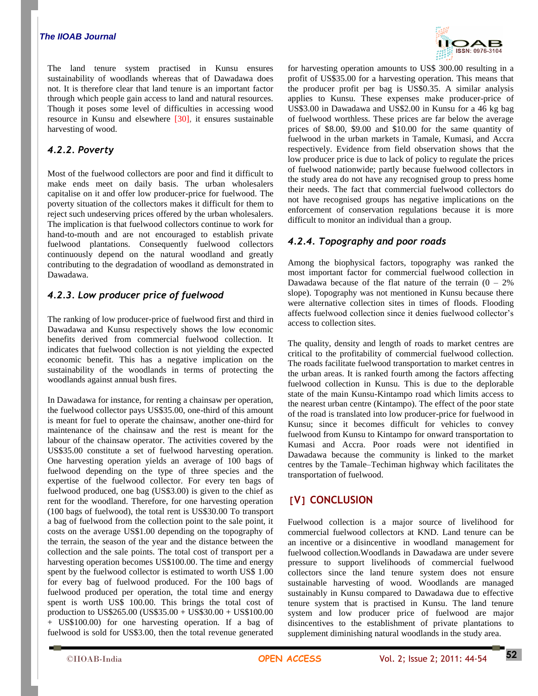The land tenure system practised in Kunsu ensures sustainability of woodlands whereas that of Dawadawa does not. It is therefore clear that land tenure is an important factor through which people gain access to land and natural resources. Though it poses some level of difficulties in accessing wood resource in Kunsu and elsewhere [30], it ensures sustainable harvesting of wood.

# *4.2.2. Poverty*

Most of the fuelwood collectors are poor and find it difficult to make ends meet on daily basis. The urban wholesalers capitalise on it and offer low producer-price for fuelwood. The poverty situation of the collectors makes it difficult for them to reject such undeserving prices offered by the urban wholesalers. The implication is that fuelwood collectors continue to work for hand-to-mouth and are not encouraged to establish private fuelwood plantations. Consequently fuelwood collectors continuously depend on the natural woodland and greatly contributing to the degradation of woodland as demonstrated in Dawadawa.

# *4.2.3. Low producer price of fuelwood*

The ranking of low producer-price of fuelwood first and third in Dawadawa and Kunsu respectively shows the low economic benefits derived from commercial fuelwood collection. It indicates that fuelwood collection is not yielding the expected economic benefit. This has a negative implication on the sustainability of the woodlands in terms of protecting the woodlands against annual bush fires.

In Dawadawa for instance, for renting a chainsaw per operation, the fuelwood collector pays US\$35.00, one-third of this amount is meant for fuel to operate the chainsaw, another one-third for maintenance of the chainsaw and the rest is meant for the labour of the chainsaw operator. The activities covered by the US\$35.00 constitute a set of fuelwood harvesting operation. One harvesting operation yields an average of 100 bags of fuelwood depending on the type of three species and the expertise of the fuelwood collector. For every ten bags of fuelwood produced, one bag (US\$3.00) is given to the chief as rent for the woodland. Therefore, for one harvesting operation (100 bags of fuelwood), the total rent is US\$30.00 To transport a bag of fuelwood from the collection point to the sale point, it costs on the average US\$1.00 depending on the topography of the terrain, the season of the year and the distance between the collection and the sale points. The total cost of transport per a harvesting operation becomes US\$100.00. The time and energy spent by the fuelwood collector is estimated to worth US\$ 1.00 for every bag of fuelwood produced. For the 100 bags of fuelwood produced per operation, the total time and energy spent is worth US\$ 100.00. This brings the total cost of production to US\$265.00 (US\$35.00 + US\$30.00 + US\$100.00 + US\$100.00) for one harvesting operation. If a bag of fuelwood is sold for US\$3.00, then the total revenue generated



for harvesting operation amounts to US\$ 300.00 resulting in a profit of US\$35.00 for a harvesting operation. This means that the producer profit per bag is US\$0.35. A similar analysis applies to Kunsu. These expenses make producer-price of US\$3.00 in Dawadawa and US\$2.00 in Kunsu for a 46 kg bag of fuelwood worthless. These prices are far below the average prices of \$8.00, \$9.00 and \$10.00 for the same quantity of fuelwood in the urban markets in Tamale, Kumasi, and Accra respectively. Evidence from field observation shows that the low producer price is due to lack of policy to regulate the prices of fuelwood nationwide; partly because fuelwood collectors in the study area do not have any recognised group to press home their needs. The fact that commercial fuelwood collectors do not have recognised groups has negative implications on the enforcement of conservation regulations because it is more difficult to monitor an individual than a group.

# *4.2.4. Topography and poor roads*

Among the biophysical factors, topography was ranked the most important factor for commercial fuelwood collection in Dawadawa because of the flat nature of the terrain  $(0 - 2\%)$ slope). Topography was not mentioned in Kunsu because there were alternative collection sites in times of floods. Flooding affects fuelwood collection since it denies fuelwood collector's access to collection sites.

The quality, density and length of roads to market centres are critical to the profitability of commercial fuelwood collection. The roads facilitate fuelwood transportation to market centres in the urban areas. It is ranked fourth among the factors affecting fuelwood collection in Kunsu. This is due to the deplorable state of the main Kunsu-Kintampo road which limits access to the nearest urban centre (Kintampo). The effect of the poor state of the road is translated into low producer-price for fuelwood in Kunsu; since it becomes difficult for vehicles to convey fuelwood from Kunsu to Kintampo for onward transportation to Kumasi and Accra. Poor roads were not identified in Dawadawa because the community is linked to the market centres by the Tamale–Techiman highway which facilitates the transportation of fuelwood.

# **[V] CONCLUSION**

Fuelwood collection is a major source of livelihood for commercial fuelwood collectors at KND. Land tenure can be an incentive or a disincentive in woodland management for fuelwood collection.Woodlands in Dawadawa are under severe pressure to support livelihoods of commercial fuelwood collectors since the land tenure system does not ensure sustainable harvesting of wood. Woodlands are managed sustainably in Kunsu compared to Dawadawa due to effective tenure system that is practised in Kunsu. The land tenure system and low producer price of fuelwood are major disincentives to the establishment of private plantations to supplement diminishing natural woodlands in the study area.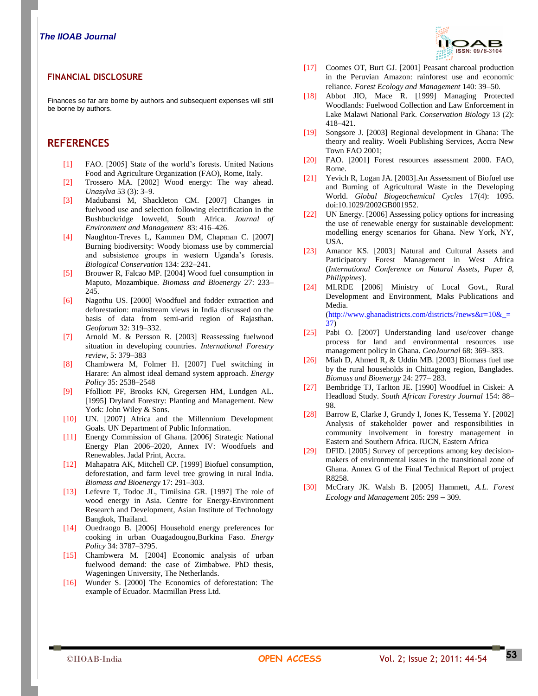#### **FINANCIAL DISCLOSURE**

Finances so far are borne by authors and subsequent expenses will still be borne by authors.

# **REFERENCES**

- [1] FAO. [2005] State of the world's forests. United Nations Food and Agriculture Organization (FAO), Rome, Italy.
- [2] Trossero MA. [2002] Wood energy: The way ahead. *Unasylva* 53 (3): 3–9.
- [3] Madubansi M, Shackleton CM. [2007] Changes in fuelwood use and selection following electrification in the Bushbuckridge lowveld, South Africa. *Journal of Environment and Management* 83: 416–426.
- [4] Naughton-Treves L, Kammen DM, Chapman C. [2007] Burning biodiversity: Woody biomass use by commercial and subsistence groups in western Uganda's forests. *Biological Conservation* 134: 232–241.
- [5] Brouwer R, Falcao MP. [2004] Wood fuel consumption in Maputo, Mozambique. *Biomass and Bioenergy* 27: 233– 245.
- [6] Nagothu US. [2000] Woodfuel and fodder extraction and deforestation: mainstream views in India discussed on the basis of data from semi-arid region of Rajasthan. *Geoforum* 32: 319–332.
- [7] Arnold M. & Persson R. [2003] Reassessing fuelwood situation in developing countries. *International Forestry review*, 5: 379–383
- [8] Chambwera M, Folmer H. [2007] Fuel switching in Harare: An almost ideal demand system approach. *Energy Policy* 35: 2538–2548
- [9] Ffolliott PF, Brooks KN, Gregersen HM, Lundgen AL. [1995] Dryland Forestry: Planting and Management. New York: John Wiley & Sons.
- [10] UN. [2007] Africa and the Millennium Development Goals. UN Department of Public Information.
- [11] Energy Commission of Ghana. [2006] Strategic National Energy Plan 2006–2020, Annex IV: Woodfuels and Renewables. Jadal Print, Accra.
- [12] Mahapatra AK, Mitchell CP. [1999] Biofuel consumption, deforestation, and farm level tree growing in rural India. *Biomass and Bioenergy* 17: 291–303.
- [13] Lefevre T, Todoc JL, Timilsina GR. [1997] The role of wood energy in Asia. Centre for Energy-Environment Research and Development, Asian Institute of Technology Bangkok, Thailand.
- [14] Ouedraogo B. [2006] Household energy preferences for cooking in urban Ouagadougou,Burkina Faso. *Energy Policy* 34: 3787–3795.
- [15] Chambwera M. [2004] Economic analysis of urban fuelwood demand: the case of Zimbabwe. PhD thesis, Wageningen University, The Netherlands.
- [16] Wunder S. [2000] The Economics of deforestation: The example of Ecuador. Macmillan Press Ltd.



- [17] Coomes OT, Burt GJ. [2001] Peasant charcoal production in the Peruvian Amazon: rainforest use and economic reliance. *Forest Ecology and Management* 140: 39**–**50.
- [18] Abbot JIO, Mace R. [1999] Managing Protected Woodlands: Fuelwood Collection and Law Enforcement in Lake Malawi National Park. *Conservation Biology* 13 (2): 418–421.
- [19] Songsore J. [2003] Regional development in Ghana: The theory and reality. Woeli Publishing Services, Accra New Town FAO 2001;
- [20] FAO. [2001] Forest resources assessment 2000. FAO, Rome.
- [21] Yevich R, Logan JA. [2003].An Assessment of Biofuel use and Burning of Agricultural Waste in the Developing World. *Global Biogeochemical Cycles* 17(4): 1095. doi:10.1029/2002GB001952.
- [22] UN Energy. [2006] Assessing policy options for increasing the use of renewable energy for sustainable development: modelling energy scenarios for Ghana. New York, NY, USA.
- [23] Amanor KS. [2003] Natural and Cultural Assets and Participatory Forest Management in West Africa (*International Conference on Natural Assets, Paper 8, Philippines*).
- [24] MLRDE [2006] Ministry of Local Govt., Rural Development and Environment, Maks Publications and Media. (http://www.ghanadistricts.com/districts/?news&r=10&\_= 37)
- [25] Pabi O. [2007] Understanding land use/cover change process for land and environmental resources use management policy in Ghana. *GeoJournal* 68: 369–383.
- [26] Miah D, Ahmed R, & Uddin MB. [2003] Biomass fuel use by the rural households in Chittagong region, Banglades. *Biomass and Bioenergy* 24: 277– 283.
- [27] Bembridge TJ, Tarlton JE. [1990] Woodfuel in Ciskei: A Headload Study. *South African Forestry Journal* 154: 88– 98.
- [28] Barrow E, Clarke J, Grundy I, Jones K, Tessema Y. [2002] Analysis of stakeholder power and responsibilities in community involvement in forestry management in Eastern and Southern Africa. IUCN, Eastern Africa
- [29] DFID. [2005] Survey of perceptions among key decisionmakers of environmental issues in the transitional zone of Ghana. Annex G of the Final Technical Report of project R8258.
- [30] McCrary JK. Walsh B. [2005] Hammett, *A.L. Forest Ecology and Management* 205: 299 **–** 309.